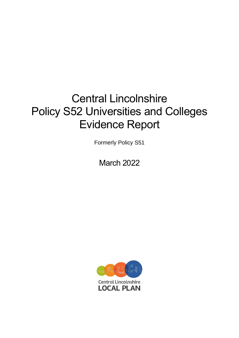# Central Lincolnshire Policy S52 Universities and Colleges Evidence Report

Formerly Policy S51

March 2022

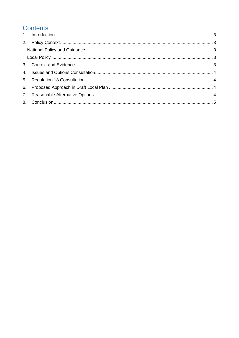# **Contents**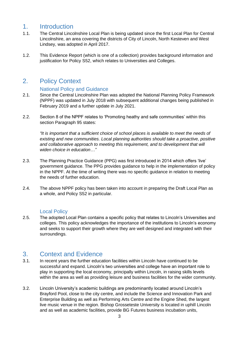### <span id="page-2-0"></span>1. Introduction

- 1.1. The Central Lincolnshire Local Plan is being updated since the first Local Plan for Central Lincolnshire, an area covering the districts of City of Lincoln, North Kesteven and West Lindsey, was adopted in April 2017.
- 1.2. This Evidence Report (which is one of a collection) provides background information and justification for Policy S52, which relates to Universities and Colleges.

### <span id="page-2-1"></span>2. Policy Context

#### National Policy and Guidance

- <span id="page-2-2"></span>2.1. Since the Central Lincolnshire Plan was adopted the National Planning Policy Framework (NPPF) was updated in July 2018 with subsequent additional changes being published in February 2019 and a further update in July 2021.
- 2.2. Section 8 of the NPPF relates to 'Promoting heathy and safe communities' within this section Paragraph 95 states:

*"It is important that a sufficient choice of school places is available to meet the needs of existing and new communities. Local planning authorities should take a proactive, positive and collaborative approach to meeting this requirement, and to development that will widen choice in education…"*

- 2.3. The Planning Practice Guidance (PPG) was first introduced in 2014 which offers 'live' government guidance. The PPG provides guidance to help in the implementation of policy in the NPPF. At the time of writing there was no specific guidance in relation to meeting the needs of further education.
- 2.4. The above NPPF policy has been taken into account in preparing the Draft Local Plan as a whole, and Policy S52 in particular.

#### Local Policy

<span id="page-2-3"></span>2.5. The adopted Local Plan contains a specific policy that relates to Lincoln's Universities and colleges. This policy acknowledges the importance of the institutions to Lincoln's economy and seeks to support their growth where they are well designed and integrated with their surroundings.

#### <span id="page-2-4"></span>3. Context and Evidence

- 3.1. In recent years the further education facilities within Lincoln have continued to be successful and expand. Lincoln's two universities and college have an important role to play in supporting the local economy, principally within Lincoln, in raising skills levels within the area as well as providing leisure and business facilities for the wider community.
- 3.2. Lincoln University's academic buildings are predominantly located around Lincoln's Brayford Pool, close to the city centre, and include the Science and Innovation Park and Enterprise Building as well as Performing Arts Centre and the Engine Shed, the largest live music venue in the region. Bishop Grosseteste University is located in uphill Lincoln and as well as academic facilities, provide BG Futures business incubation units,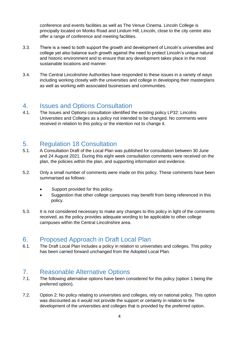conference and events facilities as well as The Venue Cinema. Lincoln College is principally located on Monks Road and Lindum Hill, Lincoln, close to the city centre also offer a range of conference and meeting facilities.

- 3.3. There is a need to both support the growth and development of Lincoln's universities and college yet also balance such growth against the need to protect Lincoln's unique natural and historic environment and to ensure that any development takes place in the most sustainable locations and manner.
- 3.4. The Central Lincolnshire Authorities have responded to these issues in a variety of ways including working closely with the universities and college in developing their masterplans as well as working with associated businesses and communities.

#### <span id="page-3-0"></span>4. Issues and Options Consultation

4.1. The Issues and Options consultation identified the existing policy LP32: Lincolns Universities and Colleges as a policy not intended to be changed. No comments were received in relation to this policy or the intention not to change it.

## <span id="page-3-1"></span>5. Regulation 18 Consultation

- 5.1. A Consultation Draft of the Local Plan was published for consultation between 30 June and 24 August 2021. During this eight week consultation comments were received on the plan, the policies within the plan, and supporting information and evidence.
- 5.2. Only a small number of comments were made on this policy. These comments have been summarised as follows:
	- Support provided for this policy.
	- Suggestion that other college campuses may benefit from being referenced in this policy.
- 5.3. It is not considered necessary to make any changes to this policy in light of the comments received, as the policy provides adequate wording to be applicable to other college campuses within the Central Lincolnshire area.

#### <span id="page-3-2"></span>6. Proposed Approach in Draft Local Plan

6.1. The Draft Local Plan includes a policy in relation to universities and colleges. This policy has been carried forward unchanged from the Adopted Local Plan.

#### <span id="page-3-3"></span>7. Reasonable Alternative Options

- 7.1. The following alternative options have been considered for this policy (option 1 being the preferred option).
- 7.2. Option 2: No policy relating to universities and colleges, rely on national policy. This option was discounted as it would not provide the support or certainty in relation to the development of the universities and colleges that is provided by the preferred option.